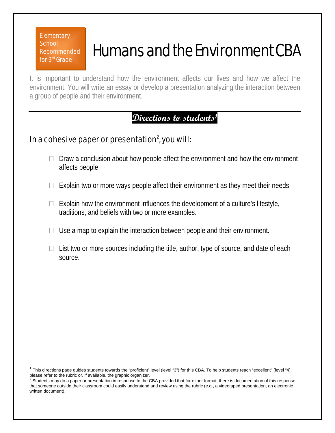**Elementary School** Recommended for 3rd Grade

 $\overline{1}$ 

## Humans and the Environment CBA

It is important to understand how the environment affects our lives and how we affect the environment. You will write an essay or develop a presentation analyzing the interaction between a group of people and their environment.

## **Directions to students1**

## In a cohesive paper or presentation $^2$ , you will:

- $\Box$  Draw a conclusion about how people affect the environment and how the environment affects people.
- $\Box$  Explain two or more ways people affect their environment as they meet their needs.
- $\Box$  Explain how the environment influences the development of a culture's lifestyle, traditions, and beliefs with two or more examples.
- $\Box$  Use a map to explain the interaction between people and their environment.
- $\Box$  List two or more sources including the title, author, type of source, and date of each source.

This directions page guides students towards the "proficient" level (level "3") for this CBA. To help students reach "excellent" (level "4), please refer to the rubric or, if available, the graphic organizer.

Students may do a paper or presentation in response to the CBA provided that for either format, there is documentation of this response that someone outside their classroom could easily understand and review using the rubric (e.g., a videotaped presentation, an electronic written document).